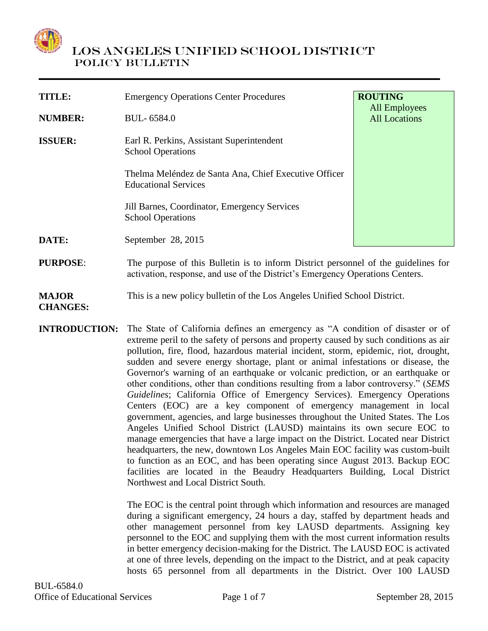

# LOS ANGELES UNIFIED SCHOOL DISTRICT POLICY BULLETIN

| TITLE:          | <b>Emergency Operations Center Procedures</b>                                                                                                                       | <b>ROUTING</b>                               |
|-----------------|---------------------------------------------------------------------------------------------------------------------------------------------------------------------|----------------------------------------------|
| <b>NUMBER:</b>  | BUL-6584.0                                                                                                                                                          | <b>All Employees</b><br><b>All Locations</b> |
| <b>ISSUER:</b>  | Earl R. Perkins, Assistant Superintendent<br><b>School Operations</b>                                                                                               |                                              |
|                 | Thelma Meléndez de Santa Ana, Chief Executive Officer<br><b>Educational Services</b>                                                                                |                                              |
|                 | Jill Barnes, Coordinator, Emergency Services<br><b>School Operations</b>                                                                                            |                                              |
| DATE:           | September 28, 2015                                                                                                                                                  |                                              |
| <b>PURPOSE:</b> | The purpose of this Bulletin is to inform District personnel of the guidelines for<br>activation, response, and use of the District's Emergency Operations Centers. |                                              |

#### **MAJOR**  This is a new policy bulletin of the Los Angeles Unified School District.

**CHANGES: INTRODUCTION:** The State of California defines an emergency as "A condition of disaster or of extreme peril to the safety of persons and property caused by such conditions as air pollution, fire, flood, hazardous material incident, storm, epidemic, riot, drought, sudden and severe energy shortage, plant or animal infestations or disease, the Governor's warning of an earthquake or volcanic prediction, or an earthquake or other conditions, other than conditions resulting from a labor controversy." (*SEMS Guidelines*; California Office of Emergency Services). Emergency Operations Centers (EOC) are a key component of emergency management in local government, agencies, and large businesses throughout the United States. The Los Angeles Unified School District (LAUSD) maintains its own secure EOC to manage emergencies that have a large impact on the District. Located near District headquarters, the new, downtown Los Angeles Main EOC facility was custom-built to function as an EOC, and has been operating since August 2013. Backup EOC facilities are located in the Beaudry Headquarters Building, Local District Northwest and Local District South.

> The EOC is the central point through which information and resources are managed during a significant emergency, 24 hours a day, staffed by department heads and other management personnel from key LAUSD departments. Assigning key personnel to the EOC and supplying them with the most current information results in better emergency decision-making for the District. The LAUSD EOC is activated at one of three levels, depending on the impact to the District, and at peak capacity hosts 65 personnel from all departments in the District. Over 100 LAUSD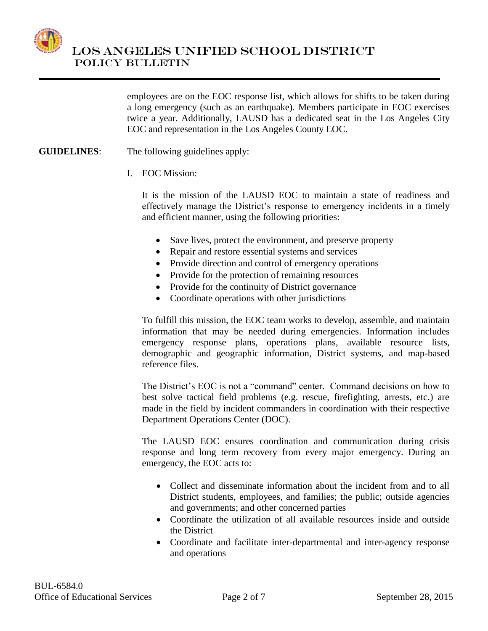

 LOS ANGELES UNIFIED SCHOOL DISTRICT POLICY BULLETIN

> employees are on the EOC response list, which allows for shifts to be taken during a long emergency (such as an earthquake). Members participate in EOC exercises twice a year. Additionally, LAUSD has a dedicated seat in the Los Angeles City EOC and representation in the Los Angeles County EOC.

- **GUIDELINES**: The following guidelines apply:
	- I. EOC Mission:

It is the mission of the LAUSD EOC to maintain a state of readiness and effectively manage the District's response to emergency incidents in a timely and efficient manner, using the following priorities:

- Save lives, protect the environment, and preserve property
- Repair and restore essential systems and services
- Provide direction and control of emergency operations
- Provide for the protection of remaining resources
- Provide for the continuity of District governance
- Coordinate operations with other jurisdictions

To fulfill this mission, the EOC team works to develop, assemble, and maintain information that may be needed during emergencies. Information includes emergency response plans, operations plans, available resource lists, demographic and geographic information, District systems, and map-based reference files.

The District's EOC is not a "command" center. Command decisions on how to best solve tactical field problems (e.g. rescue, firefighting, arrests, etc.) are made in the field by incident commanders in coordination with their respective Department Operations Center (DOC).

The LAUSD EOC ensures coordination and communication during crisis response and long term recovery from every major emergency. During an emergency, the EOC acts to:

- Collect and disseminate information about the incident from and to all District students, employees, and families; the public; outside agencies and governments; and other concerned parties
- Coordinate the utilization of all available resources inside and outside the District
- Coordinate and facilitate inter-departmental and inter-agency response and operations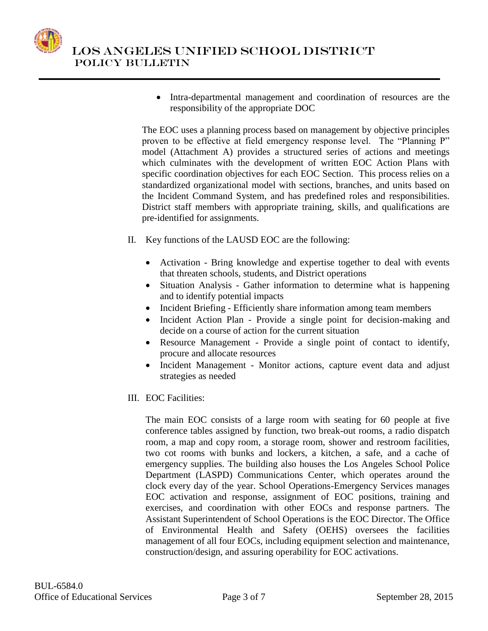

 Intra-departmental management and coordination of resources are the responsibility of the appropriate DOC

The EOC uses a planning process based on management by objective principles proven to be effective at field emergency response level. The "Planning P" model (Attachment A) provides a structured series of actions and meetings which culminates with the development of written EOC Action Plans with specific coordination objectives for each EOC Section. This process relies on a standardized organizational model with sections, branches, and units based on the Incident Command System, and has predefined roles and responsibilities. District staff members with appropriate training, skills, and qualifications are pre-identified for assignments.

- II. Key functions of the LAUSD EOC are the following:
	- Activation Bring knowledge and expertise together to deal with events that threaten schools, students, and District operations
	- Situation Analysis Gather information to determine what is happening and to identify potential impacts
	- Incident Briefing Efficiently share information among team members
	- Incident Action Plan Provide a single point for decision-making and decide on a course of action for the current situation
	- Resource Management Provide a single point of contact to identify, procure and allocate resources
	- Incident Management Monitor actions, capture event data and adjust strategies as needed
- III. EOC Facilities:

The main EOC consists of a large room with seating for 60 people at five conference tables assigned by function, two break-out rooms, a radio dispatch room, a map and copy room, a storage room, shower and restroom facilities, two cot rooms with bunks and lockers, a kitchen, a safe, and a cache of emergency supplies. The building also houses the Los Angeles School Police Department (LASPD) Communications Center, which operates around the clock every day of the year. School Operations-Emergency Services manages EOC activation and response, assignment of EOC positions, training and exercises, and coordination with other EOCs and response partners. The Assistant Superintendent of School Operations is the EOC Director. The Office of Environmental Health and Safety (OEHS) oversees the facilities management of all four EOCs, including equipment selection and maintenance, construction/design, and assuring operability for EOC activations.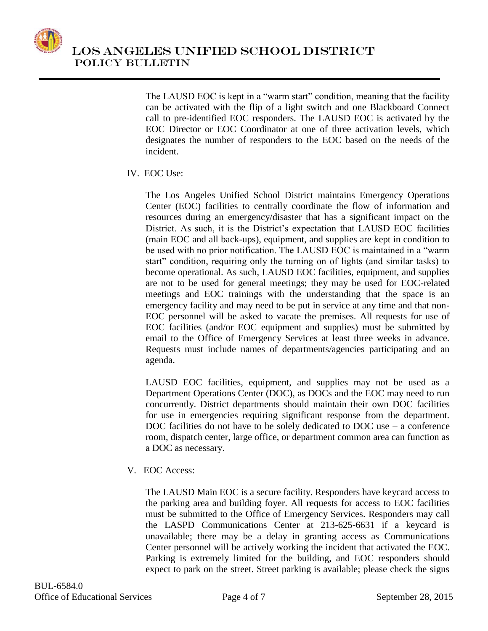

The LAUSD EOC is kept in a "warm start" condition, meaning that the facility can be activated with the flip of a light switch and one Blackboard Connect call to pre-identified EOC responders. The LAUSD EOC is activated by the EOC Director or EOC Coordinator at one of three activation levels, which designates the number of responders to the EOC based on the needs of the incident.

# IV. EOC Use:

The Los Angeles Unified School District maintains Emergency Operations Center (EOC) facilities to centrally coordinate the flow of information and resources during an emergency/disaster that has a significant impact on the District. As such, it is the District's expectation that LAUSD EOC facilities (main EOC and all back-ups), equipment, and supplies are kept in condition to be used with no prior notification. The LAUSD EOC is maintained in a "warm start" condition, requiring only the turning on of lights (and similar tasks) to become operational. As such, LAUSD EOC facilities, equipment, and supplies are not to be used for general meetings; they may be used for EOC-related meetings and EOC trainings with the understanding that the space is an emergency facility and may need to be put in service at any time and that non-EOC personnel will be asked to vacate the premises. All requests for use of EOC facilities (and/or EOC equipment and supplies) must be submitted by email to the Office of Emergency Services at least three weeks in advance. Requests must include names of departments/agencies participating and an agenda.

LAUSD EOC facilities, equipment, and supplies may not be used as a Department Operations Center (DOC), as DOCs and the EOC may need to run concurrently. District departments should maintain their own DOC facilities for use in emergencies requiring significant response from the department. DOC facilities do not have to be solely dedicated to DOC use – a conference room, dispatch center, large office, or department common area can function as a DOC as necessary.

V. EOC Access:

The LAUSD Main EOC is a secure facility. Responders have keycard access to the parking area and building foyer. All requests for access to EOC facilities must be submitted to the Office of Emergency Services. Responders may call the LASPD Communications Center at 213-625-6631 if a keycard is unavailable; there may be a delay in granting access as Communications Center personnel will be actively working the incident that activated the EOC. Parking is extremely limited for the building, and EOC responders should expect to park on the street. Street parking is available; please check the signs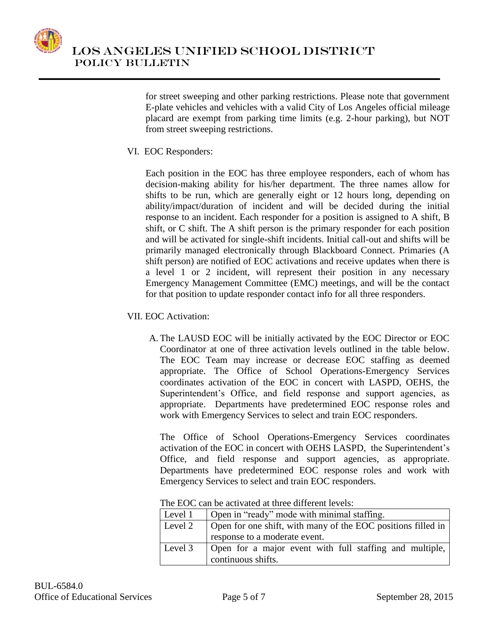

for street sweeping and other parking restrictions. Please note that government E-plate vehicles and vehicles with a valid City of Los Angeles official mileage placard are exempt from parking time limits (e.g. 2-hour parking), but NOT from street sweeping restrictions.

VI. EOC Responders:

Each position in the EOC has three employee responders, each of whom has decision-making ability for his/her department. The three names allow for shifts to be run, which are generally eight or 12 hours long, depending on ability/impact/duration of incident and will be decided during the initial response to an incident. Each responder for a position is assigned to A shift, B shift, or C shift. The A shift person is the primary responder for each position and will be activated for single-shift incidents. Initial call-out and shifts will be primarily managed electronically through Blackboard Connect. Primaries (A shift person) are notified of EOC activations and receive updates when there is a level 1 or 2 incident, will represent their position in any necessary Emergency Management Committee (EMC) meetings, and will be the contact for that position to update responder contact info for all three responders.

- VII. EOC Activation:
	- A. The LAUSD EOC will be initially activated by the EOC Director or EOC Coordinator at one of three activation levels outlined in the table below. The EOC Team may increase or decrease EOC staffing as deemed appropriate. The Office of School Operations-Emergency Services coordinates activation of the EOC in concert with LASPD, OEHS, the Superintendent's Office, and field response and support agencies, as appropriate. Departments have predetermined EOC response roles and work with Emergency Services to select and train EOC responders.

The Office of School Operations-Emergency Services coordinates activation of the EOC in concert with OEHS LASPD, the Superintendent's Office, and field response and support agencies, as appropriate. Departments have predetermined EOC response roles and work with Emergency Services to select and train EOC responders.

| Level 1 | Open in "ready" mode with minimal staffing.                  |  |  |
|---------|--------------------------------------------------------------|--|--|
| Level 2 | Open for one shift, with many of the EOC positions filled in |  |  |
|         | response to a moderate event.                                |  |  |
| Level 3 | Open for a major event with full staffing and multiple,      |  |  |
|         | continuous shifts.                                           |  |  |

The EOC can be activated at three different levels: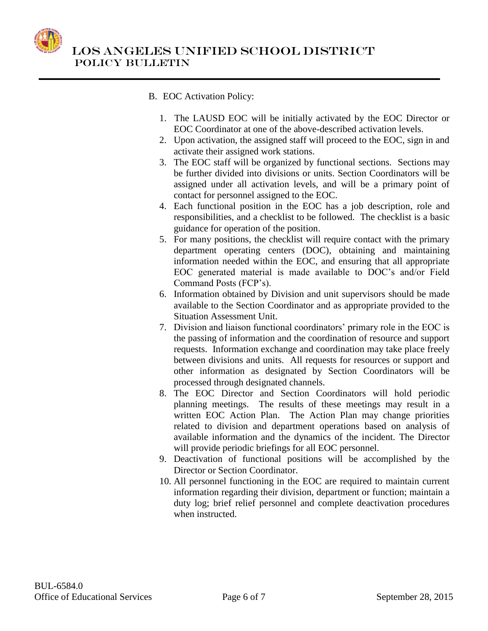

 LOS ANGELES UNIFIED SCHOOL DISTRICT POLICY BULLETIN

# B. EOC Activation Policy:

- 1. The LAUSD EOC will be initially activated by the EOC Director or EOC Coordinator at one of the above-described activation levels.
- 2. Upon activation, the assigned staff will proceed to the EOC, sign in and activate their assigned work stations.
- 3. The EOC staff will be organized by functional sections. Sections may be further divided into divisions or units. Section Coordinators will be assigned under all activation levels, and will be a primary point of contact for personnel assigned to the EOC.
- 4. Each functional position in the EOC has a job description, role and responsibilities, and a checklist to be followed. The checklist is a basic guidance for operation of the position.
- 5. For many positions, the checklist will require contact with the primary department operating centers (DOC), obtaining and maintaining information needed within the EOC, and ensuring that all appropriate EOC generated material is made available to DOC's and/or Field Command Posts (FCP's).
- 6. Information obtained by Division and unit supervisors should be made available to the Section Coordinator and as appropriate provided to the Situation Assessment Unit.
- 7. Division and liaison functional coordinators' primary role in the EOC is the passing of information and the coordination of resource and support requests. Information exchange and coordination may take place freely between divisions and units. All requests for resources or support and other information as designated by Section Coordinators will be processed through designated channels.
- 8. The EOC Director and Section Coordinators will hold periodic planning meetings. The results of these meetings may result in a written EOC Action Plan. The Action Plan may change priorities related to division and department operations based on analysis of available information and the dynamics of the incident. The Director will provide periodic briefings for all EOC personnel.
- 9. Deactivation of functional positions will be accomplished by the Director or Section Coordinator.
- 10. All personnel functioning in the EOC are required to maintain current information regarding their division, department or function; maintain a duty log; brief relief personnel and complete deactivation procedures when instructed.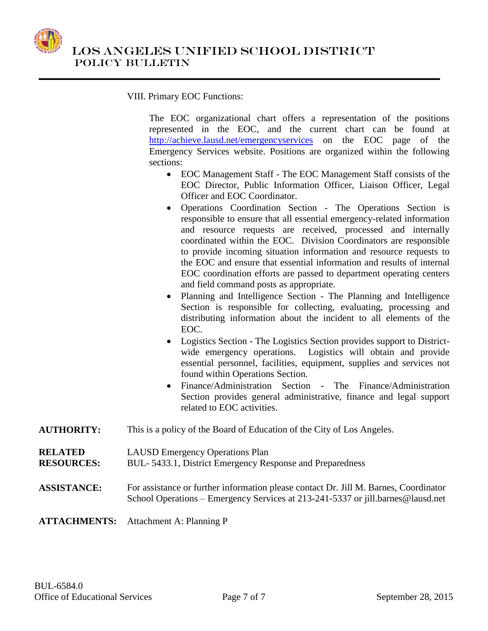

### VIII. Primary EOC Functions:

The EOC organizational chart offers a representation of the positions represented in the EOC, and the current chart can be found at <http://achieve.lausd.net/emergencyservices> on the EOC page of the Emergency Services website. Positions are organized within the following sections:

- EOC Management Staff The EOC Management Staff consists of the EOC Director, Public Information Officer, Liaison Officer, Legal Officer and EOC Coordinator.
- Operations Coordination Section The Operations Section is responsible to ensure that all essential emergency-related information and resource requests are received, processed and internally coordinated within the EOC. Division Coordinators are responsible to provide incoming situation information and resource requests to the EOC and ensure that essential information and results of internal EOC coordination efforts are passed to department operating centers and field command posts as appropriate.
- Planning and Intelligence Section The Planning and Intelligence Section is responsible for collecting, evaluating, processing and distributing information about the incident to all elements of the EOC.
- Logistics Section The Logistics Section provides support to Districtwide emergency operations. Logistics will obtain and provide essential personnel, facilities, equipment, supplies and services not found within Operations Section.
- Finance/Administration Section The Finance/Administration Section provides general administrative, finance and legal support related to EOC activities.
- **AUTHORITY:** This is a policy of the Board of Education of the City of Los Angeles.
- **RELATED**  LAUSD Emergency Operations Plan
- **RESOURCES:** BUL- 5433.1, District Emergency Response and Preparedness

# **ASSISTANCE:** For assistance or further information please contact Dr. Jill M. Barnes, Coordinator School Operations – Emergency Services at 213-241-5337 or jill.barnes@lausd.net

**ATTACHMENTS:** Attachment A: Planning P